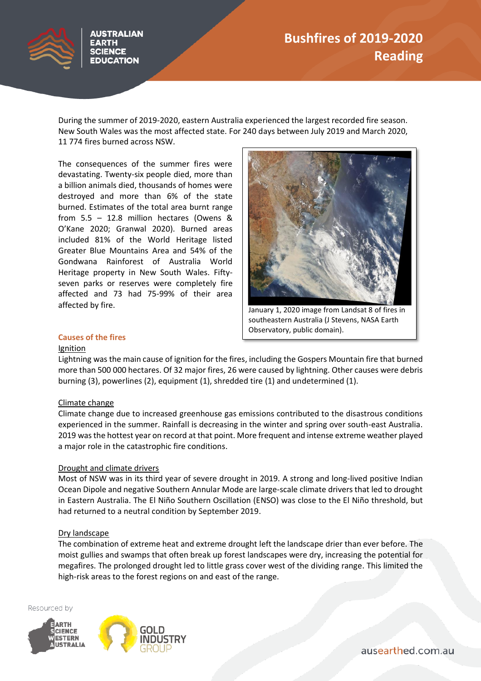# **Bushfires of 2019-2020 Reading**



AUSTRALIAN

**SCIENCE EDUCATION** 

During the summer of 2019-2020, eastern Australia experienced the largest recorded fire season. New South Wales was the most affected state. For 240 days between July 2019 and March 2020, 11 774 fires burned across NSW.

The consequences of the summer fires were devastating. Twenty-six people died, more than a billion animals died, thousands of homes were destroyed and more than 6% of the state burned. Estimates of the total area burnt range from 5.5 – 12.8 million hectares (Owens & O'Kane 2020; Granwal 2020). Burned areas included 81% of the World Heritage listed Greater Blue Mountains Area and 54% of the Gondwana Rainforest of Australia World Heritage property in New South Wales. Fiftyseven parks or reserves were completely fire affected and 73 had 75-99% of their area affected by fire.



Observatory, public domain).

## **Causes of the fires**

#### Ignition

Lightning was the main cause of ignition for the fires, including the Gospers Mountain fire that burned more than 500 000 hectares. Of 32 major fires, 26 were caused by lightning. Other causes were debris burning (3), powerlines (2), equipment (1), shredded tire (1) and undetermined (1).

### Climate change

Climate change due to increased greenhouse gas emissions contributed to the disastrous conditions experienced in the summer. Rainfall is decreasing in the winter and spring over south-east Australia. 2019 was the hottest year on record at that point. More frequent and intense extreme weather played a major role in the catastrophic fire conditions.

### Drought and climate drivers

Most of NSW was in its third year of severe drought in 2019. A strong and long-lived positive Indian Ocean Dipole and negative Southern Annular Mode are large-scale climate drivers that led to drought in Eastern Australia. The El Niño Southern Oscillation (ENSO) was close to the El Niño threshold, but had returned to a neutral condition by September 2019.

### Dry landscape

The combination of extreme heat and extreme drought left the landscape drier than ever before. The moist gullies and swamps that often break up forest landscapes were dry, increasing the potential for megafires. The prolonged drought led to little grass cover west of the dividing range. This limited the high-risk areas to the forest regions on and east of the range.

Resourced by





ausearthed.com.au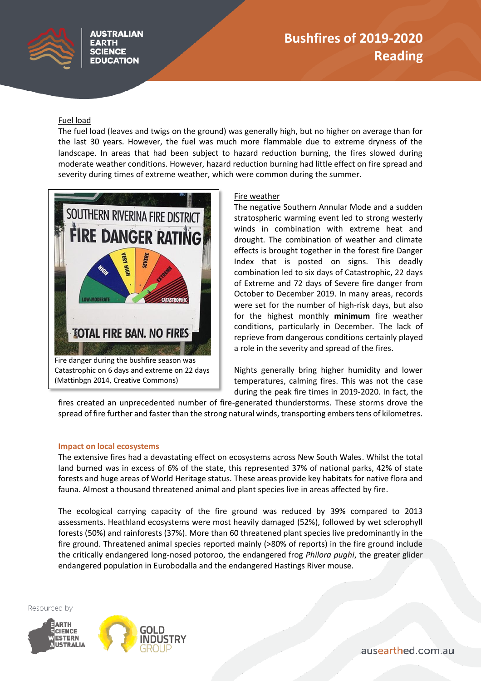## Fuel load

The fuel load (leaves and twigs on the ground) was generally high, but no higher on average than for the last 30 years. However, the fuel was much more flammable due to extreme dryness of the landscape. In areas that had been subject to hazard reduction burning, the fires slowed during moderate weather conditions. However, hazard reduction burning had little effect on fire spread and severity during times of extreme weather, which were common during the summer.



## Fire weather

The negative Southern Annular Mode and a sudden stratospheric warming event led to strong westerly winds in combination with extreme heat and drought. The combination of weather and climate effects is brought together in the forest fire Danger Index that is posted on signs. This deadly combination led to six days of Catastrophic, 22 days of Extreme and 72 days of Severe fire danger from October to December 2019. In many areas, records were set for the number of high-risk days, but also for the highest monthly **minimum** fire weather conditions, particularly in December. The lack of reprieve from dangerous conditions certainly played a role in the severity and spread of the fires.

Nights generally bring higher humidity and lower temperatures, calming fires. This was not the case during the peak fire times in 2019-2020. In fact, the

fires created an unprecedented number of fire-generated thunderstorms. These storms drove the spread of fire further and faster than the strong natural winds, transporting embers tens of kilometres.

### **Impact on local ecosystems**

The extensive fires had a devastating effect on ecosystems across New South Wales. Whilst the total land burned was in excess of 6% of the state, this represented 37% of national parks, 42% of state forests and huge areas of World Heritage status. These areas provide key habitats for native flora and fauna. Almost a thousand threatened animal and plant species live in areas affected by fire.

The ecological carrying capacity of the fire ground was reduced by 39% compared to 2013 assessments. Heathland ecosystems were most heavily damaged (52%), followed by wet sclerophyll forests (50%) and rainforests (37%). More than 60 threatened plant species live predominantly in the fire ground. Threatened animal species reported mainly (>80% of reports) in the fire ground include the critically endangered long-nosed potoroo, the endangered frog *Philora pughi*, the greater glider endangered population in Eurobodalla and the endangered Hastings River mouse.

Resourced by





ausearthed.com.au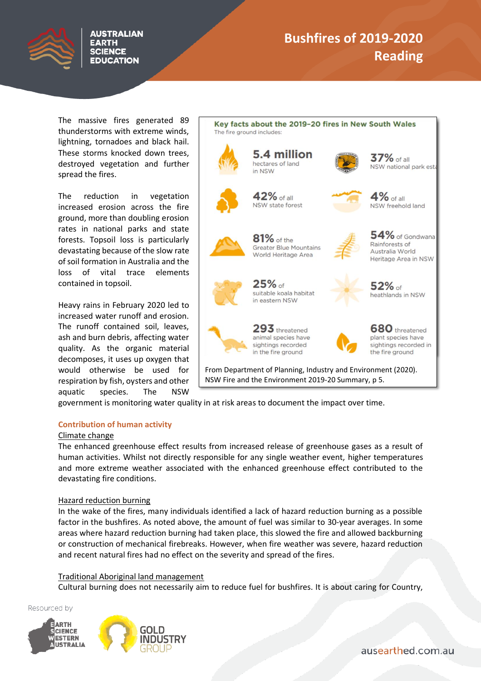

# **Bushfires of 2019-2020 Reading**

The massive fires generated 89 thunderstorms with extreme winds, lightning, tornadoes and black hail. These storms knocked down trees, destroyed vegetation and further spread the fires.

**AUSTRALIAN EARTH SCIENCE EDUCATION** 

The reduction in vegetation increased erosion across the fire ground, more than doubling erosion rates in national parks and state forests. Topsoil loss is particularly devastating because of the slow rate of soil formation in Australia and the loss of vital trace elements contained in topsoil.

Heavy rains in February 2020 led to increased water runoff and erosion. The runoff contained soil, leaves, ash and burn debris, affecting water quality. As the organic material decomposes, it uses up oxygen that would otherwise be used for respiration by fish, oysters and other aquatic species. The NSW



government is monitoring water quality in at risk areas to document the impact over time.

### **Contribution of human activity**

#### Climate change

The enhanced greenhouse effect results from increased release of greenhouse gases as a result of human activities. Whilst not directly responsible for any single weather event, higher temperatures and more extreme weather associated with the enhanced greenhouse effect contributed to the devastating fire conditions.

### Hazard reduction burning

In the wake of the fires, many individuals identified a lack of hazard reduction burning as a possible factor in the bushfires. As noted above, the amount of fuel was similar to 30-year averages. In some areas where hazard reduction burning had taken place, this slowed the fire and allowed backburning or construction of mechanical firebreaks. However, when fire weather was severe, hazard reduction and recent natural fires had no effect on the severity and spread of the fires.

#### Traditional Aboriginal land management

Cultural burning does not necessarily aim to reduce fuel for bushfires. It is about caring for Country,

Resourced by